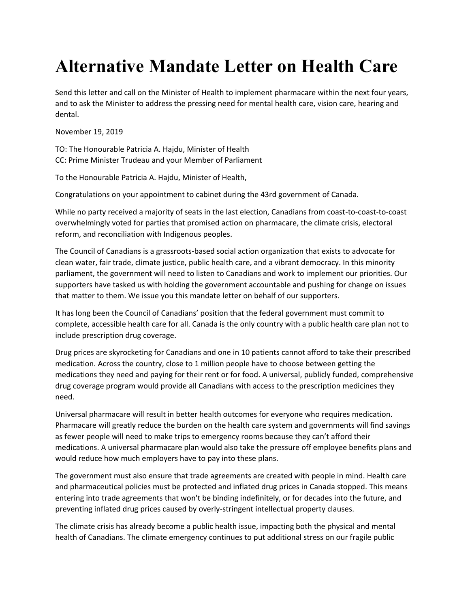## **Alternative Mandate Letter on Health Care**

Send this letter and call on the Minister of Health to implement pharmacare within the next four years, and to ask the Minister to address the pressing need for mental health care, vision care, hearing and dental.

November 19, 2019

TO: The Honourable Patricia A. Hajdu, Minister of Health CC: Prime Minister Trudeau and your Member of Parliament

To the Honourable Patricia A. Hajdu, Minister of Health,

Congratulations on your appointment to cabinet during the 43rd government of Canada.

While no party received a majority of seats in the last election, Canadians from coast-to-coast-to-coast overwhelmingly voted for parties that promised action on pharmacare, the climate crisis, electoral reform, and reconciliation with Indigenous peoples.

The Council of Canadians is a grassroots-based social action organization that exists to advocate for clean water, fair trade, climate justice, public health care, and a vibrant democracy. In this minority parliament, the government will need to listen to Canadians and work to implement our priorities. Our supporters have tasked us with holding the government accountable and pushing for change on issues that matter to them. We issue you this mandate letter on behalf of our supporters.

It has long been the Council of Canadians' position that the federal government must commit to complete, accessible health care for all. Canada is the only country with a public health care plan not to include prescription drug coverage.

Drug prices are skyrocketing for Canadians and one in 10 patients cannot afford to take their prescribed medication. Across the country, close to 1 million people have to choose between getting the medications they need and paying for their rent or for food. A universal, publicly funded, comprehensive drug coverage program would provide all Canadians with access to the prescription medicines they need.

Universal pharmacare will result in better health outcomes for everyone who requires medication. Pharmacare will greatly reduce the burden on the health care system and governments will find savings as fewer people will need to make trips to emergency rooms because they can't afford their medications. A universal pharmacare plan would also take the pressure off employee benefits plans and would reduce how much employers have to pay into these plans.

The government must also ensure that trade agreements are created with people in mind. Health care and pharmaceutical policies must be protected and inflated drug prices in Canada stopped. This means entering into trade agreements that won't be binding indefinitely, or for decades into the future, and preventing inflated drug prices caused by overly-stringent intellectual property clauses.

The climate crisis has already become a public health issue, impacting both the physical and mental health of Canadians. The climate emergency continues to put additional stress on our fragile public